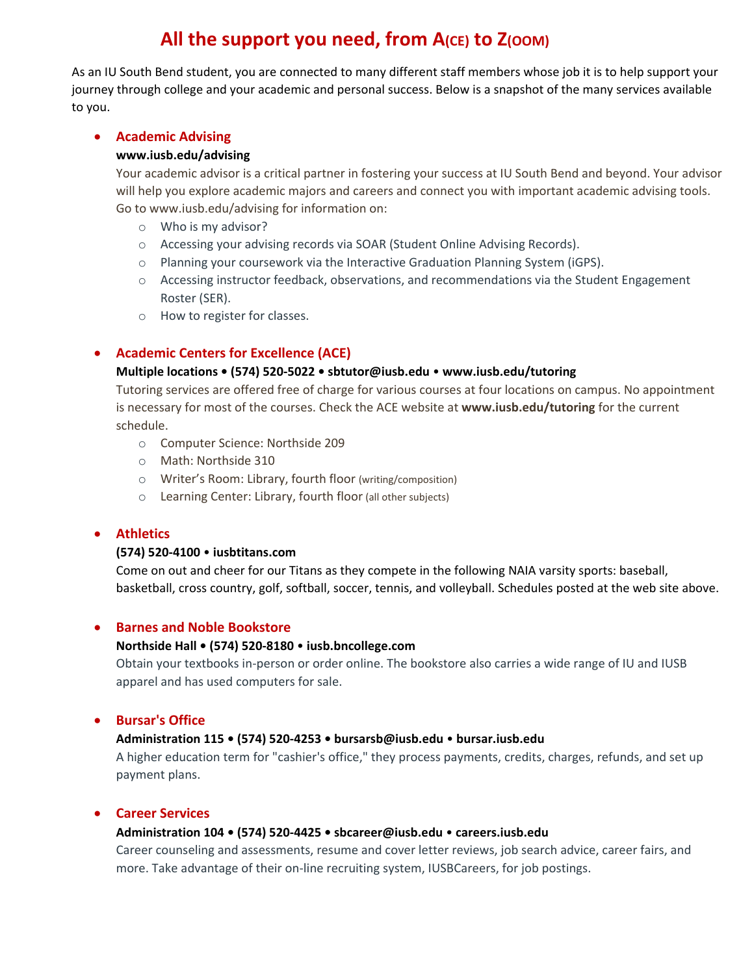# **All the support you need, from A(CE) to Z(OOM)**

As an IU South Bend student, you are connected to many different staff members whose job it is to help support your journey through college and your academic and personal success. Below is a snapshot of the many services available to you.

# **Academic Advising**

# **www.iusb.edu/advising**

Your academic advisor is a critical partner in fostering your success at IU South Bend and beyond. Your advisor will help you explore academic majors and careers and connect you with important academic advising tools. Go to www.iusb.edu/advising for information on:

- o Who is my advisor?
- o Accessing your advising records via SOAR (Student Online Advising Records).
- o Planning your coursework via the Interactive Graduation Planning System (iGPS).
- o Accessing instructor feedback, observations, and recommendations via the Student Engagement Roster (SER).
- o How to register for classes.

# **Academic Centers for Excellence (ACE)**

# **Multiple locations • (574) 520‐5022 • sbtutor@iusb.edu** • **www.iusb.edu/tutoring**

Tutoring services are offered free of charge for various courses at four locations on campus. No appointment is necessary for most of the courses. Check the ACE website at **www.iusb.edu/tutoring** for the current schedule.

- o Computer Science: Northside 209
- o Math: Northside 310
- o Writer's Room: Library, fourth floor (writing/composition)
- o Learning Center: Library, fourth floor (all other subjects)

# **Athletics**

# **(574) 520‐4100** • **iusbtitans.com**

Come on out and cheer for our Titans as they compete in the following NAIA varsity sports: baseball, basketball, cross country, golf, softball, soccer, tennis, and volleyball. Schedules posted at the web site above.

# **Barnes and Noble Bookstore**

# **Northside Hall • (574) 520‐8180** • **iusb.bncollege.com**

Obtain your textbooks in‐person or order online. The bookstore also carries a wide range of IU and IUSB apparel and has used computers for sale.

# **Bursar's Office**

# **Administration 115 • (574) 520‐4253 • bursarsb@iusb.edu** • **bursar.iusb.edu**

A higher education term for "cashier's office," they process payments, credits, charges, refunds, and set up payment plans.

# **Career Services**

# **Administration 104 • (574) 520‐4425 • sbcareer@iusb.edu** • **careers.iusb.edu**

Career counseling and assessments, resume and cover letter reviews, job search advice, career fairs, and more. Take advantage of their on-line recruiting system, IUSBCareers, for job postings.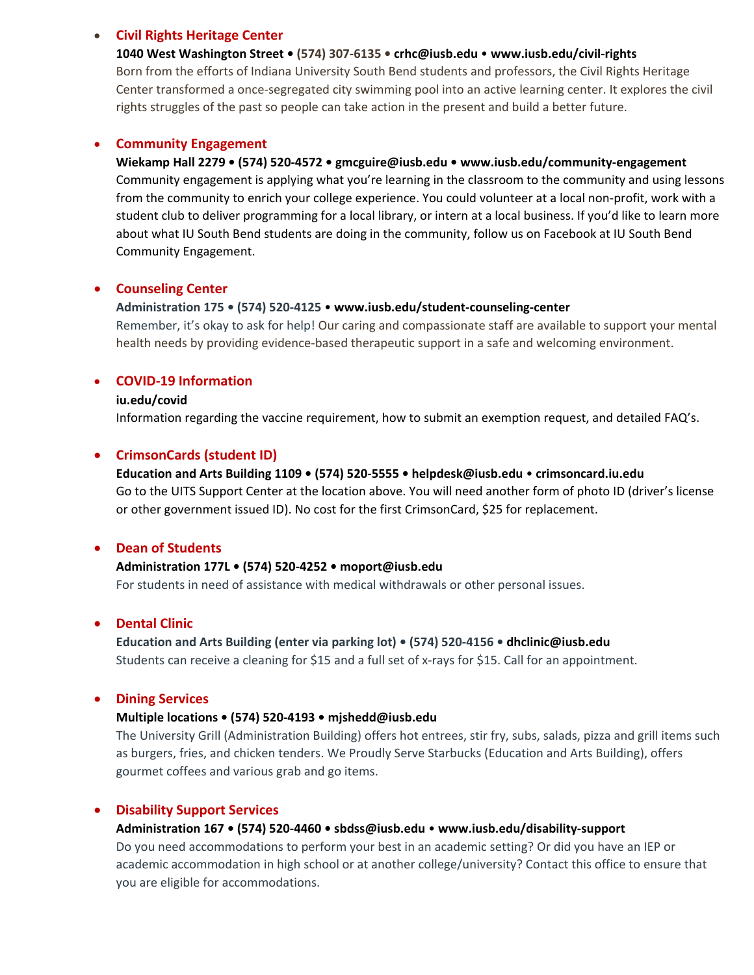## **Civil Rights Heritage Center**

#### **1040 West Washington Street • (574) 307‐6135 • crhc@iusb.edu** • **www.iusb.edu/civil‐rights**

Born from the efforts of Indiana University South Bend students and professors, the Civil Rights Heritage Center transformed a once‐segregated city swimming pool into an active learning center. It explores the civil rights struggles of the past so people can take action in the present and build a better future.

### **Community Engagement**

## **Wiekamp Hall 2279 • (574) 520‐4572 • gmcguire@iusb.edu • www.iusb.edu/community‐engagement**

Community engagement is applying what you're learning in the classroom to the community and using lessons from the community to enrich your college experience. You could volunteer at a local non-profit, work with a student club to deliver programming for a local library, or intern at a local business. If you'd like to learn more about what IU South Bend students are doing in the community, follow us on Facebook at IU South Bend Community Engagement.

## **Counseling Center**

#### **Administration 175 • (574) 520‐4125** • **www.iusb.edu/student‐counseling‐center**

Remember, it's okay to ask for help! Our caring and compassionate staff are available to support your mental health needs by providing evidence‐based therapeutic support in a safe and welcoming environment.

# **COVID‐19 Information**

#### **iu.edu/covid**

Information regarding the vaccine requirement, how to submit an exemption request, and detailed FAQ's.

## **CrimsonCards (student ID)**

# **Education and Arts Building 1109 • (574) 520‐5555 • helpdesk@iusb.edu** • **crimsoncard.iu.edu** Go to the UITS Support Center at the location above. You will need another form of photo ID (driver's license or other government issued ID). No cost for the first CrimsonCard, \$25 for replacement.

# **Dean of Students**

## **Administration 177L • (574) 520‐4252 • moport@iusb.edu**

For students in need of assistance with medical withdrawals or other personal issues.

#### **Dental Clinic**

**Education and Arts Building (enter via parking lot) • (574) 520‐4156 • dhclinic@iusb.edu** Students can receive a cleaning for \$15 and a full set of x-rays for \$15. Call for an appointment.

#### **Dining Services**

#### **Multiple locations • (574) 520‐4193 • mjshedd@iusb.edu**

The University Grill (Administration Building) offers hot entrees, stir fry, subs, salads, pizza and grill items such as burgers, fries, and chicken tenders. We Proudly Serve Starbucks (Education and Arts Building), offers gourmet coffees and various grab and go items.

# **Disability Support Services**

#### **Administration 167 • (574) 520‐4460 • sbdss@iusb.edu** • **www.iusb.edu/disability‐support**

Do you need accommodations to perform your best in an academic setting? Or did you have an IEP or academic accommodation in high school or at another college/university? Contact this office to ensure that you are eligible for accommodations.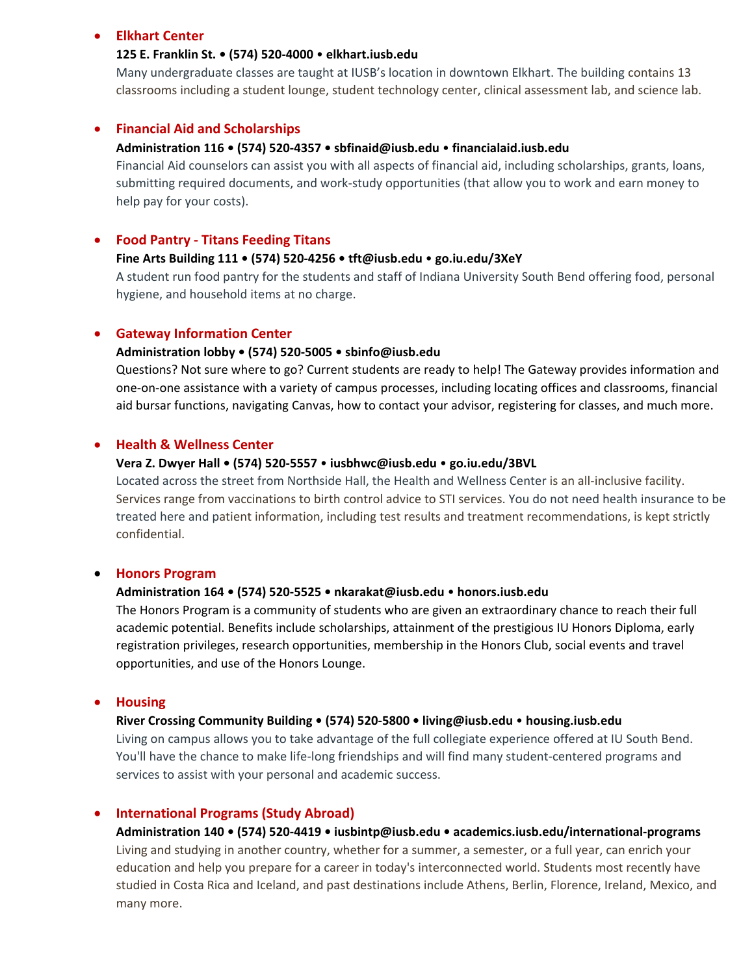#### **Elkhart Center**

#### **125 E. Franklin St. • (574) 520‐4000** • **elkhart.iusb.edu**

Many undergraduate classes are taught at IUSB's location in downtown Elkhart. The building contains 13 classrooms including a student lounge, student technology center, clinical assessment lab, and science lab.

#### **Financial Aid and Scholarships**

#### **Administration 116 • (574) 520‐4357 • sbfinaid@iusb.edu** • **financialaid.iusb.edu**

Financial Aid counselors can assist you with all aspects of financial aid, including scholarships, grants, loans, submitting required documents, and work‐study opportunities (that allow you to work and earn money to help pay for your costs).

#### **Food Pantry ‐ Titans Feeding Titans**

#### **Fine Arts Building 111 • (574) 520‐4256 • tft@iusb.edu** • **go.iu.edu/3XeY**

A student run food pantry for the students and staff of Indiana University South Bend offering food, personal hygiene, and household items at no charge.

#### **Gateway Information Center**

#### **Administration lobby • (574) 520‐5005 • sbinfo@iusb.edu**

Questions? Not sure where to go? Current students are ready to help! The Gateway provides information and one‐on‐one assistance with a variety of campus processes, including locating offices and classrooms, financial aid bursar functions, navigating Canvas, how to contact your advisor, registering for classes, and much more.

#### **Health & Wellness Center**

#### **Vera Z. Dwyer Hall • (574) 520‐5557** • **iusbhwc@iusb.edu** • **go.iu.edu/3BVL**

Located across the street from Northside Hall, the Health and Wellness Center is an all‐inclusive facility. Services range from vaccinations to birth control advice to STI services. You do not need health insurance to be treated here and patient information, including test results and treatment recommendations, is kept strictly confidential.

# **Honors Program**

#### **Administration 164 • (574) 520‐5525 • nkarakat@iusb.edu** • **honors.iusb.edu**

The Honors Program is a community of students who are given an extraordinary chance to reach their full academic potential. Benefits include scholarships, attainment of the prestigious IU Honors Diploma, early registration privileges, research opportunities, membership in the Honors Club, social events and travel opportunities, and use of the Honors Lounge.

## **Housing**

#### **River Crossing Community Building • (574) 520‐5800 • living@iusb.edu** • **housing.iusb.edu**

Living on campus allows you to take advantage of the full collegiate experience offered at IU South Bend. You'll have the chance to make life‐long friendships and will find many student‐centered programs and services to assist with your personal and academic success.

#### **International Programs (Study Abroad)**

**Administration 140 • (574) 520‐4419 • iusbintp@iusb.edu • academics.iusb.edu/international‐programs** Living and studying in another country, whether for a summer, a semester, or a full year, can enrich your education and help you prepare for a career in today's interconnected world. Students most recently have studied in Costa Rica and Iceland, and past destinations include Athens, Berlin, Florence, Ireland, Mexico, and many more.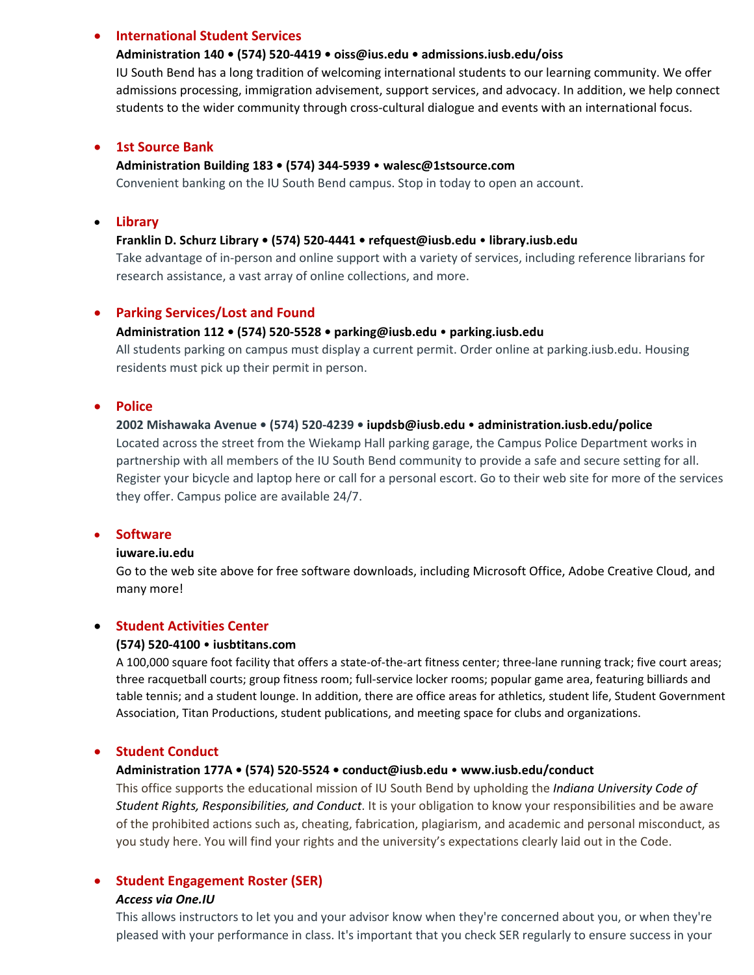# **International Student Services**

### **Administration 140 • (574) 520‐4419 • oiss@ius.edu • admissions.iusb.edu/oiss**

IU South Bend has a long tradition of welcoming international students to our learning community. We offer admissions processing, immigration advisement, support services, and advocacy. In addition, we help connect students to the wider community through cross-cultural dialogue and events with an international focus.

## **1st Source Bank**

#### **Administration Building 183 • (574) 344‐5939** • **walesc@1stsource.com**

Convenient banking on the IU South Bend campus. Stop in today to open an account.

# **Library**

#### **Franklin D. Schurz Library • (574) 520‐4441 • refquest@iusb.edu** • **library.iusb.edu**

Take advantage of in‐person and online support with a variety of services, including reference librarians for research assistance, a vast array of online collections, and more.

## **Parking Services/Lost and Found**

#### **Administration 112 • (574) 520‐5528 • parking@iusb.edu** • **parking.iusb.edu**

All students parking on campus must display a current permit. Order online at parking.iusb.edu. Housing residents must pick up their permit in person.

#### **•** Police

## **2002 Mishawaka Avenue • (574) 520‐4239 • iupdsb@iusb.edu** • **administration.iusb.edu/police**

Located across the street from the Wiekamp Hall parking garage, the Campus Police Department works in partnership with all members of the IU South Bend community to provide a safe and secure setting for all. Register your bicycle and laptop here or call for a personal escort. Go to their web site for more of the services they offer. Campus police are available 24/7.

## **•** Software

#### **iuware.iu.edu**

Go to the web site above for free software downloads, including Microsoft Office, Adobe Creative Cloud, and many more!

#### **Student Activities Center**

## **(574) 520‐4100** • **iusbtitans.com**

A 100,000 square foot facility that offers a state‐of‐the‐art fitness center; three‐lane running track; five court areas; three racquetball courts; group fitness room; full‐service locker rooms; popular game area, featuring billiards and table tennis; and a student lounge. In addition, there are office areas for athletics, student life, Student Government Association, Titan Productions, student publications, and meeting space for clubs and organizations.

# **Student Conduct**

## **Administration 177A • (574) 520‐5524 • conduct@iusb.edu** • **www.iusb.edu/conduct**

This office supports the educational mission of IU South Bend by upholding the *Indiana University Code of Student Rights, Responsibilities, and Conduct*. It is your obligation to know your responsibilities and be aware of the prohibited actions such as, cheating, fabrication, plagiarism, and academic and personal misconduct, as you study here. You will find your rights and the university's expectations clearly laid out in the Code.

# **Student Engagement Roster (SER)**

#### *Access via One.IU*

This allows instructors to let you and your advisor know when they're concerned about you, or when they're pleased with your performance in class. It's important that you check SER regularly to ensure success in your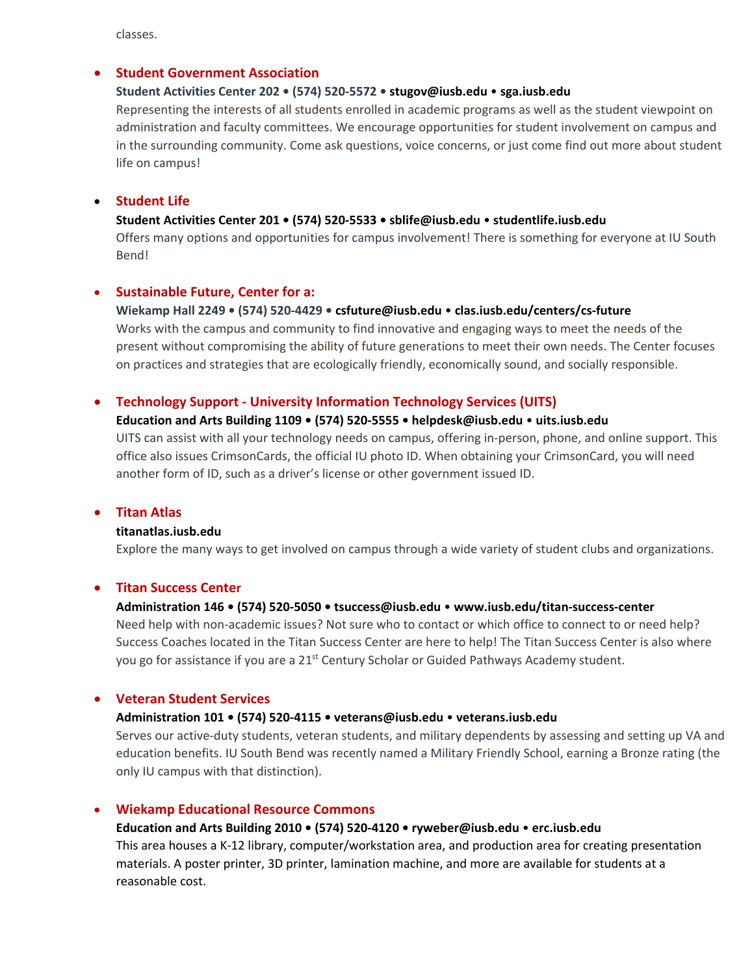classes.

## **Student Government Association**

## **Student Activities Center 202 • (574) 520‐5572 • stugov@iusb.edu** • **sga.iusb.edu**

Representing the interests of all students enrolled in academic programs as well as the student viewpoint on administration and faculty committees. We encourage opportunities for student involvement on campus and in the surrounding community. Come ask questions, voice concerns, or just come find out more about student life on campus!

### **Student Life**

### **Student Activities Center 201 • (574) 520‐5533 • sblife@iusb.edu** • **studentlife.iusb.edu**

Offers many options and opportunities for campus involvement! There is something for everyone at IU South Bend!

# **Sustainable Future, Center for a:**

#### **Wiekamp Hall 2249 • (574) 520‐4429 • csfuture@iusb.edu** • **clas.iusb.edu/centers/cs‐future**

Works with the campus and community to find innovative and engaging ways to meet the needs of the present without compromising the ability of future generations to meet their own needs. The Center focuses on practices and strategies that are ecologically friendly, economically sound, and socially responsible.

## **Technology Support ‐ University Information Technology Services (UITS)**

## **Education and Arts Building 1109 • (574) 520‐5555 • helpdesk@iusb.edu** • **uits.iusb.edu**

UITS can assist with all your technology needs on campus, offering in‐person, phone, and online support. This office also issues CrimsonCards, the official IU photo ID. When obtaining your CrimsonCard, you will need another form of ID, such as a driver's license or other government issued ID.

## **Titan Atlas**

#### **titanatlas.iusb.edu**

Explore the many ways to get involved on campus through a wide variety of student clubs and organizations.

#### **Titan Success Center**

#### **Administration 146 • (574) 520‐5050 • tsuccess@iusb.edu** • **www.iusb.edu/titan‐success‐center**

Need help with non-academic issues? Not sure who to contact or which office to connect to or need help? Success Coaches located in the Titan Success Center are here to help! The Titan Success Center is also where you go for assistance if you are a 21<sup>st</sup> Century Scholar or Guided Pathways Academy student.

#### **Veteran Student Services**

### **Administration 101 • (574) 520‐4115 • veterans@iusb.edu** • **veterans.iusb.edu**

Serves our active-duty students, veteran students, and military dependents by assessing and setting up VA and education benefits. IU South Bend was recently named a Military Friendly School, earning a Bronze rating (the only IU campus with that distinction).

#### **Wiekamp Educational Resource Commons**

**Education and Arts Building 2010 • (574) 520‐4120 • ryweber@iusb.edu** • **erc.iusb.edu** This area houses a K‐12 library, computer/workstation area, and production area for creating presentation materials. A poster printer, 3D printer, lamination machine, and more are available for students at a reasonable cost.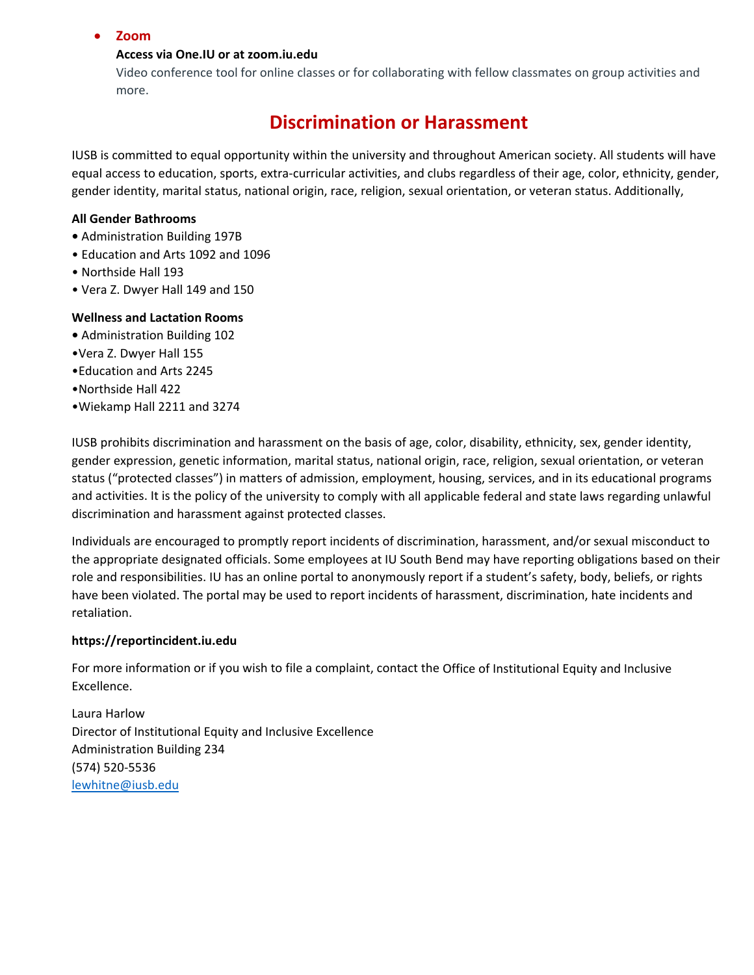# **Zoom**

## **Access via One.IU or at zoom.iu.edu**

Video conference tool for online classes or for collaborating with fellow classmates on group activities and more.

# **Discrimination or Harassment**

IUSB is committed to equal opportunity within the university and throughout American society. All students will have equal access to education, sports, extra-curricular activities, and clubs regardless of their age, color, ethnicity, gender, gender identity, marital status, national origin, race, religion, sexual orientation, or veteran status. Additionally,

## **All Gender Bathrooms**

- **•** Administration Building 197B
- Education and Arts 1092 and 1096
- Northside Hall 193
- Vera Z. Dwyer Hall 149 and 150

## **Wellness and Lactation Rooms**

- **•** Administration Building 102
- •Vera Z. Dwyer Hall 155
- •Education and Arts 2245
- •Northside Hall 422
- •Wiekamp Hall 2211 and 3274

IUSB prohibits discrimination and harassment on the basis of age, color, disability, ethnicity, sex, gender identity, gender expression, genetic information, marital status, national origin, race, religion, sexual orientation, or veteran status ("protected classes") in matters of admission, employment, housing, services, and in its educational programs and activities. It is the policy of the university to comply with all applicable federal and state laws regarding unlawful discrimination and harassment against protected classes.

Individuals are encouraged to promptly report incidents of discrimination, harassment, and/or sexual misconduct to the appropriate designated officials. Some employees at IU South Bend may have reporting obligations based on their role and responsibilities. IU has an online portal to anonymously report if a student's safety, body, beliefs, or rights have been violated. The portal may be used to report incidents of harassment, discrimination, hate incidents and retaliation.

# **https://reportincident.iu.edu**

For more information or if you wish to file a complaint, contact the Office of Institutional Equity and Inclusive Excellence.

Laura Harlow Director of Institutional Equity and Inclusive Excellence Administration Building 234 (574) 520‐5536 lewhitne@iusb.edu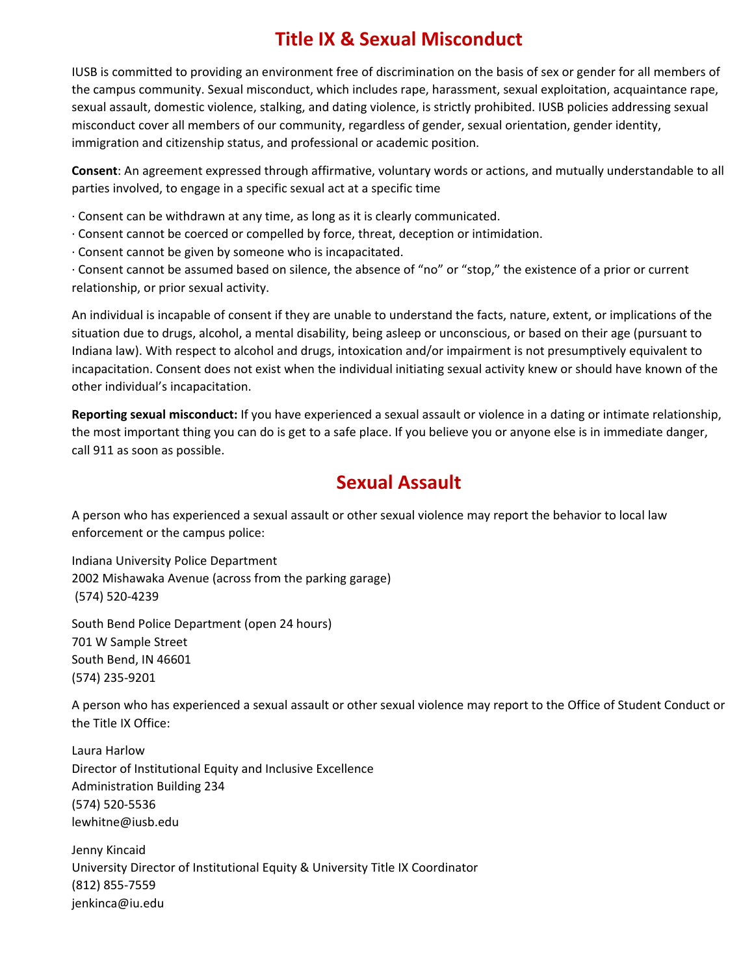# **Title IX & Sexual Misconduct**

IUSB is committed to providing an environment free of discrimination on the basis of sex or gender for all members of the campus community. Sexual misconduct, which includes rape, harassment, sexual exploitation, acquaintance rape, sexual assault, domestic violence, stalking, and dating violence, is strictly prohibited. IUSB policies addressing sexual misconduct cover all members of our community, regardless of gender, sexual orientation, gender identity, immigration and citizenship status, and professional or academic position.

**Consent**: An agreement expressed through affirmative, voluntary words or actions, and mutually understandable to all parties involved, to engage in a specific sexual act at a specific time

∙ Consent can be withdrawn at any time, as long as it is clearly communicated.

- ∙ Consent cannot be coerced or compelled by force, threat, deception or intimidation.
- ∙ Consent cannot be given by someone who is incapacitated.

∙ Consent cannot be assumed based on silence, the absence of "no" or "stop," the existence of a prior or current relationship, or prior sexual activity.

An individual is incapable of consent if they are unable to understand the facts, nature, extent, or implications of the situation due to drugs, alcohol, a mental disability, being asleep or unconscious, or based on their age (pursuant to Indiana law). With respect to alcohol and drugs, intoxication and/or impairment is not presumptively equivalent to incapacitation. Consent does not exist when the individual initiating sexual activity knew or should have known of the other individual's incapacitation.

**Reporting sexual misconduct:** If you have experienced a sexual assault or violence in a dating or intimate relationship, the most important thing you can do is get to a safe place. If you believe you or anyone else is in immediate danger, call 911 as soon as possible.

# **Sexual Assault**

A person who has experienced a sexual assault or other sexual violence may report the behavior to local law enforcement or the campus police:

Indiana University Police Department 2002 Mishawaka Avenue (across from the parking garage) (574) 520‐4239

South Bend Police Department (open 24 hours) 701 W Sample Street South Bend, IN 46601 (574) 235‐9201

A person who has experienced a sexual assault or other sexual violence may report to the Office of Student Conduct or the Title IX Office:

Laura Harlow Director of Institutional Equity and Inclusive Excellence Administration Building 234 (574) 520‐5536 lewhitne@iusb.edu

Jenny Kincaid University Director of Institutional Equity & University Title IX Coordinator (812) 855‐7559 jenkinca@iu.edu